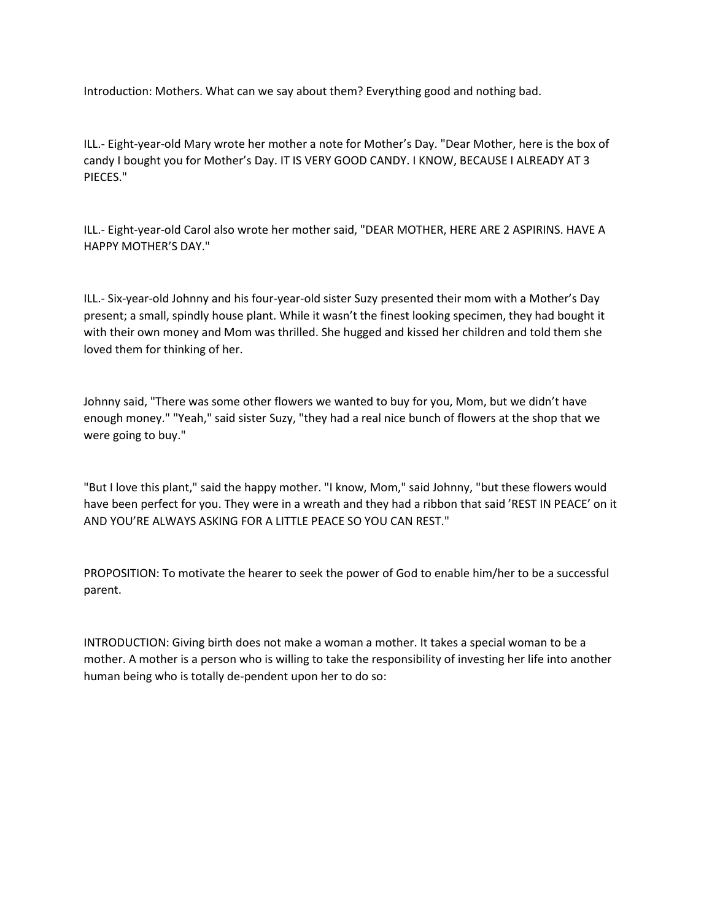Introduction: Mothers. What can we say about them? Everything good and nothing bad.

ILL.- Eight-year-old Mary wrote her mother a note for Mother's Day. "Dear Mother, here is the box of candy I bought you for Mother's Day. IT IS VERY GOOD CANDY. I KNOW, BECAUSE I ALREADY AT 3 PIECES."

ILL.- Eight-year-old Carol also wrote her mother said, "DEAR MOTHER, HERE ARE 2 ASPIRINS. HAVE A HAPPY MOTHER'S DAY."

ILL.- Six-year-old Johnny and his four-year-old sister Suzy presented their mom with a Mother's Day present; a small, spindly house plant. While it wasn't the finest looking specimen, they had bought it with their own money and Mom was thrilled. She hugged and kissed her children and told them she loved them for thinking of her.

Johnny said, "There was some other flowers we wanted to buy for you, Mom, but we didn't have enough money." "Yeah," said sister Suzy, "they had a real nice bunch of flowers at the shop that we were going to buy."

"But I love this plant," said the happy mother. "I know, Mom," said Johnny, "but these flowers would have been perfect for you. They were in a wreath and they had a ribbon that said 'REST IN PEACE' on it AND YOU'RE ALWAYS ASKING FOR A LITTLE PEACE SO YOU CAN REST."

PROPOSITION: To motivate the hearer to seek the power of God to enable him/her to be a successful parent.

INTRODUCTION: Giving birth does not make a woman a mother. It takes a special woman to be a mother. A mother is a person who is willing to take the responsibility of investing her life into another human being who is totally de-pendent upon her to do so: